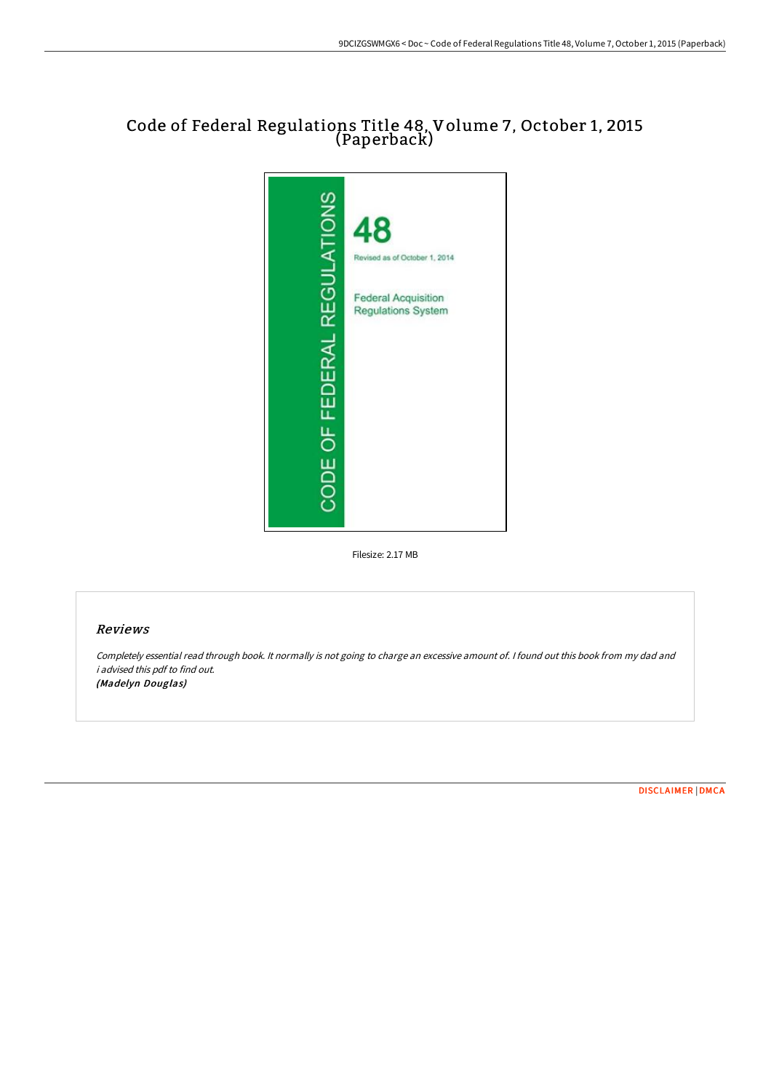## Code of Federal Regulations Title 48, Volume 7, October 1, 2015 (Paperback)



Filesize: 2.17 MB

### Reviews

Completely essential read through book. It normally is not going to charge an excessive amount of. <sup>I</sup> found out this book from my dad and i advised this pdf to find out. (Madelyn Douglas)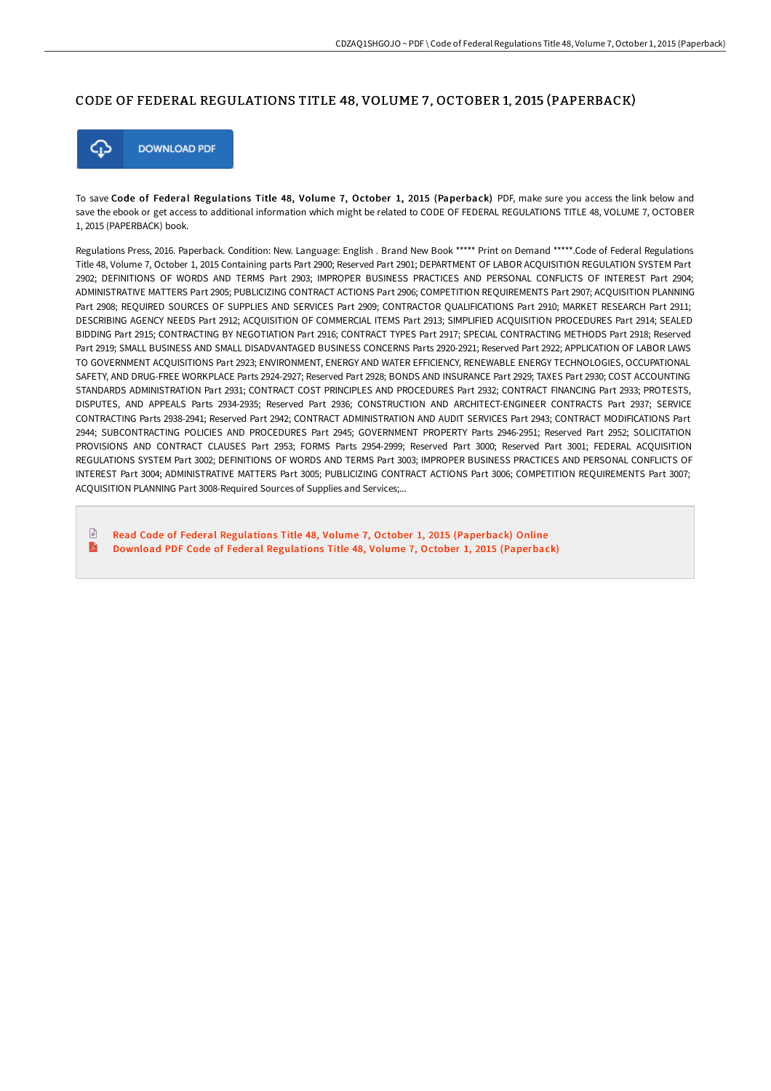#### CODE OF FEDERAL REGULATIONS TITLE 48, VOLUME 7 , OCTOBER 1, 2015 (PAPERBACK)



To save Code of Federal Regulations Title 48, Volume 7, October 1, 2015 (Paperback) PDF, make sure you access the link below and save the ebook or get access to additional information which might be related to CODE OF FEDERAL REGULATIONS TITLE 48, VOLUME 7, OCTOBER 1, 2015 (PAPERBACK) book.

Regulations Press, 2016. Paperback. Condition: New. Language: English . Brand New Book \*\*\*\*\* Print on Demand \*\*\*\*\*.Code of Federal Regulations Title 48, Volume 7, October 1, 2015 Containing parts Part 2900; Reserved Part 2901; DEPARTMENT OF LABOR ACQUISITION REGULATION SYSTEM Part 2902; DEFINITIONS OF WORDS AND TERMS Part 2903; IMPROPER BUSINESS PRACTICES AND PERSONAL CONFLICTS OF INTEREST Part 2904; ADMINISTRATIVE MATTERS Part 2905; PUBLICIZING CONTRACT ACTIONS Part 2906; COMPETITION REQUIREMENTS Part 2907; ACQUISITION PLANNING Part 2908; REQUIRED SOURCES OF SUPPLIES AND SERVICES Part 2909; CONTRACTOR QUALIFICATIONS Part 2910; MARKET RESEARCH Part 2911; DESCRIBING AGENCY NEEDS Part 2912; ACQUISITION OF COMMERCIAL ITEMS Part 2913; SIMPLIFIED ACQUISITION PROCEDURES Part 2914; SEALED BIDDING Part 2915; CONTRACTING BY NEGOTIATION Part 2916; CONTRACT TYPES Part 2917; SPECIAL CONTRACTING METHODS Part 2918; Reserved Part 2919; SMALL BUSINESS AND SMALL DISADVANTAGED BUSINESS CONCERNS Parts 2920-2921; Reserved Part 2922; APPLICATION OF LABOR LAWS TO GOVERNMENT ACQUISITIONS Part 2923; ENVIRONMENT, ENERGY AND WATER EFFICIENCY, RENEWABLE ENERGY TECHNOLOGIES, OCCUPATIONAL SAFETY, AND DRUG-FREE WORKPLACE Parts 2924-2927; Reserved Part 2928; BONDS AND INSURANCE Part 2929; TAXES Part 2930; COST ACCOUNTING STANDARDS ADMINISTRATION Part 2931; CONTRACT COST PRINCIPLES AND PROCEDURES Part 2932; CONTRACT FINANCING Part 2933; PROTESTS, DISPUTES, AND APPEALS Parts 2934-2935; Reserved Part 2936; CONSTRUCTION AND ARCHITECT-ENGINEER CONTRACTS Part 2937; SERVICE CONTRACTING Parts 2938-2941; Reserved Part 2942; CONTRACT ADMINISTRATION AND AUDIT SERVICES Part 2943; CONTRACT MODIFICATIONS Part 2944; SUBCONTRACTING POLICIES AND PROCEDURES Part 2945; GOVERNMENT PROPERTY Parts 2946-2951; Reserved Part 2952; SOLICITATION PROVISIONS AND CONTRACT CLAUSES Part 2953; FORMS Parts 2954-2999; Reserved Part 3000; Reserved Part 3001; FEDERAL ACQUISITION REGULATIONS SYSTEM Part 3002; DEFINITIONS OF WORDS AND TERMS Part 3003; IMPROPER BUSINESS PRACTICES AND PERSONAL CONFLICTS OF INTEREST Part 3004; ADMINISTRATIVE MATTERS Part 3005; PUBLICIZING CONTRACT ACTIONS Part 3006; COMPETITION REQUIREMENTS Part 3007; ACQUISITION PLANNING Part 3008-Required Sources of Supplies and Services;...

 $\Box$ Read Code of Federal Regulations Title 48, Volume 7, October 1, 2015 [\(Paperback\)](http://albedo.media/code-of-federal-regulations-title-48-volume-7-oc.html) Online E Download PDF Code of Federal Regulations Title 48, Volume 7, October 1, 2015 [\(Paperback\)](http://albedo.media/code-of-federal-regulations-title-48-volume-7-oc.html)